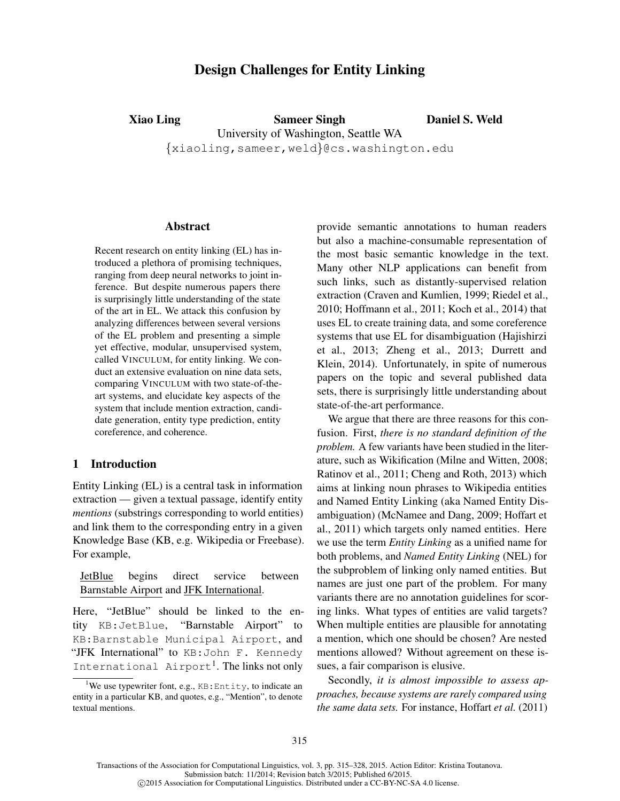# Design Challenges for Entity Linking

Xiao Ling Sameer Singh University of Washington, Seattle WA {xiaoling,sameer,weld}@cs.washington.edu

Daniel S. Weld

#### Abstract

Recent research on entity linking (EL) has introduced a plethora of promising techniques, ranging from deep neural networks to joint inference. But despite numerous papers there is surprisingly little understanding of the state of the art in EL. We attack this confusion by analyzing differences between several versions of the EL problem and presenting a simple yet effective, modular, unsupervised system, called VINCULUM, for entity linking. We conduct an extensive evaluation on nine data sets, comparing VINCULUM with two state-of-theart systems, and elucidate key aspects of the system that include mention extraction, candidate generation, entity type prediction, entity coreference, and coherence.

## <span id="page-0-1"></span>1 Introduction

Entity Linking (EL) is a central task in information extraction — given a textual passage, identify entity *mentions* (substrings corresponding to world entities) and link them to the corresponding entry in a given Knowledge Base (KB, e.g. Wikipedia or Freebase). For example,

JetBlue begins direct service between Barnstable Airport and JFK International.

Here, "JetBlue" should be linked to the entity KB:JetBlue, "Barnstable Airport" to KB:Barnstable Municipal Airport, and "JFK International" to KB: John F. Kennedy International Airport<sup>[1](#page-0-0)</sup>. The links not only

provide semantic annotations to human readers but also a machine-consumable representation of the most basic semantic knowledge in the text. Many other NLP applications can benefit from such links, such as distantly-supervised relation extraction [\(Craven and Kumlien, 1999;](#page-12-0) [Riedel et al.,](#page-13-0) [2010;](#page-13-0) [Hoffmann et al., 2011;](#page-12-1) [Koch et al., 2014\)](#page-12-2) that uses EL to create training data, and some coreference systems that use EL for disambiguation [\(Hajishirzi](#page-12-3) [et al., 2013;](#page-12-3) [Zheng et al., 2013;](#page-13-1) [Durrett and](#page-12-4) [Klein, 2014\)](#page-12-4). Unfortunately, in spite of numerous papers on the topic and several published data sets, there is surprisingly little understanding about state-of-the-art performance.

We argue that there are three reasons for this confusion. First, *there is no standard definition of the problem.* A few variants have been studied in the literature, such as Wikification [\(Milne and Witten, 2008;](#page-13-2) [Ratinov et al., 2011;](#page-13-3) [Cheng and Roth, 2013\)](#page-12-5) which aims at linking noun phrases to Wikipedia entities and Named Entity Linking (aka Named Entity Disambiguation) [\(McNamee and Dang, 2009;](#page-13-4) [Hoffart et](#page-12-6) [al., 2011\)](#page-12-6) which targets only named entities. Here we use the term *Entity Linking* as a unified name for both problems, and *Named Entity Linking* (NEL) for the subproblem of linking only named entities. But names are just one part of the problem. For many variants there are no annotation guidelines for scoring links. What types of entities are valid targets? When multiple entities are plausible for annotating a mention, which one should be chosen? Are nested mentions allowed? Without agreement on these issues, a fair comparison is elusive.

Secondly, *it is almost impossible to assess approaches, because systems are rarely compared using the same data sets.* For instance, Hoffart *et al.* [\(2011\)](#page-12-6)

Transactions of the Association for Computational Linguistics, vol. 3, pp. 315–328, 2015. Action Editor: Kristina Toutanova. Submission batch: 11/2014; Revision batch 3/2015; Published 6/2015.

c 2015 Association for Computational Linguistics. Distributed under a CC-BY-NC-SA 4.0 license.

<span id="page-0-0"></span><sup>&</sup>lt;sup>1</sup>We use typewriter font, e.g.,  $KB:Entity$ , to indicate an entity in a particular KB, and quotes, e.g., "Mention", to denote textual mentions.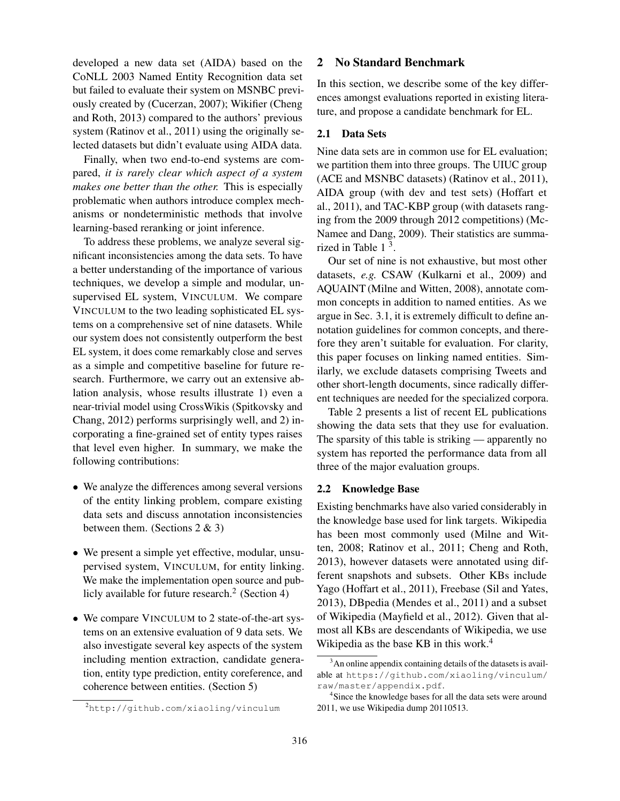developed a new data set (AIDA) based on the CoNLL 2003 Named Entity Recognition data set but failed to evaluate their system on MSNBC previously created by [\(Cucerzan, 2007\)](#page-12-7); Wikifier [\(Cheng](#page-12-5) [and Roth, 2013\)](#page-12-5) compared to the authors' previous system [\(Ratinov et al., 2011\)](#page-13-3) using the originally selected datasets but didn't evaluate using AIDA data.

Finally, when two end-to-end systems are compared, *it is rarely clear which aspect of a system makes one better than the other.* This is especially problematic when authors introduce complex mechanisms or nondeterministic methods that involve learning-based reranking or joint inference.

To address these problems, we analyze several significant inconsistencies among the data sets. To have a better understanding of the importance of various techniques, we develop a simple and modular, unsupervised EL system, VINCULUM. We compare VINCULUM to the two leading sophisticated EL systems on a comprehensive set of nine datasets. While our system does not consistently outperform the best EL system, it does come remarkably close and serves as a simple and competitive baseline for future research. Furthermore, we carry out an extensive ablation analysis, whose results illustrate 1) even a near-trivial model using CrossWikis [\(Spitkovsky and](#page-13-5) [Chang, 2012\)](#page-13-5) performs surprisingly well, and 2) incorporating a fine-grained set of entity types raises that level even higher. In summary, we make the following contributions:

- We analyze the differences among several versions of the entity linking problem, compare existing data sets and discuss annotation inconsistencies between them. (Sections [2](#page-1-0) & [3\)](#page-3-0)
- We present a simple yet effective, modular, unsupervised system, VINCULUM, for entity linking. We make the implementation open source and pub-licly available for future research.<sup>[2](#page-1-1)</sup> (Section [4\)](#page-4-0)
- We compare VINCULUM to 2 state-of-the-art systems on an extensive evaluation of 9 data sets. We also investigate several key aspects of the system including mention extraction, candidate generation, entity type prediction, entity coreference, and coherence between entities. (Section [5\)](#page-6-0)

## <span id="page-1-0"></span>2 No Standard Benchmark

In this section, we describe some of the key differences amongst evaluations reported in existing literature, and propose a candidate benchmark for EL.

## 2.1 Data Sets

Nine data sets are in common use for EL evaluation; we partition them into three groups. The UIUC group (ACE and MSNBC datasets) [\(Ratinov et al., 2011\)](#page-13-3), AIDA group (with dev and test sets) [\(Hoffart et](#page-12-6) [al., 2011\)](#page-12-6), and TAC-KBP group (with datasets ranging from the 2009 through 2012 competitions) [\(Mc-](#page-13-4)[Namee and Dang, 2009\)](#page-13-4). Their statistics are summarized in Table  $1<sup>3</sup>$  $1<sup>3</sup>$  $1<sup>3</sup>$ .

Our set of nine is not exhaustive, but most other datasets, *e.g.* CSAW [\(Kulkarni et al., 2009\)](#page-12-8) and AQUAINT [\(Milne and Witten, 2008\)](#page-13-2), annotate common concepts in addition to named entities. As we argue in Sec. [3.1,](#page-3-1) it is extremely difficult to define annotation guidelines for common concepts, and therefore they aren't suitable for evaluation. For clarity, this paper focuses on linking named entities. Similarly, we exclude datasets comprising Tweets and other short-length documents, since radically different techniques are needed for the specialized corpora.

Table [2](#page-2-0) presents a list of recent EL publications showing the data sets that they use for evaluation. The sparsity of this table is striking — apparently no system has reported the performance data from all three of the major evaluation groups.

## <span id="page-1-4"></span>2.2 Knowledge Base

Existing benchmarks have also varied considerably in the knowledge base used for link targets. Wikipedia has been most commonly used [\(Milne and Wit](#page-13-2)[ten, 2008;](#page-13-2) [Ratinov et al., 2011;](#page-13-3) [Cheng and Roth,](#page-12-5) [2013\)](#page-12-5), however datasets were annotated using different snapshots and subsets. Other KBs include Yago [\(Hoffart et al., 2011\)](#page-12-6), Freebase [\(Sil and Yates,](#page-13-6) [2013\)](#page-13-6), DBpedia [\(Mendes et al., 2011\)](#page-13-7) and a subset of Wikipedia [\(Mayfield et al., 2012\)](#page-13-8). Given that almost all KBs are descendants of Wikipedia, we use Wikipedia as the base KB in this work.<sup>[4](#page-1-3)</sup>

<span id="page-1-1"></span><sup>2</sup><http://github.com/xiaoling/vinculum>

<span id="page-1-2"></span><sup>&</sup>lt;sup>3</sup>An online appendix containing details of the datasets is available at [https://github.com/xiaoling/vinculum/](https://github.com/xiaoling/vinculum/raw/master/appendix.pdf) [raw/master/appendix.pdf](https://github.com/xiaoling/vinculum/raw/master/appendix.pdf).

<span id="page-1-3"></span><sup>&</sup>lt;sup>4</sup>Since the knowledge bases for all the data sets were around 2011, we use Wikipedia dump 20110513.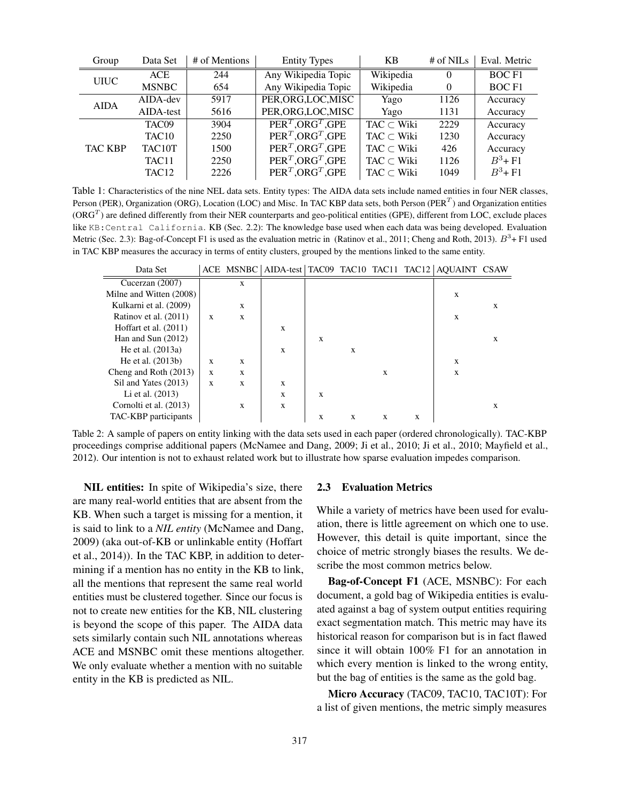| Group                            | Data Set          | # of Mentions       | <b>Entity Types</b>             | <b>KB</b>          | # of $NILs$       | Eval. Metric |
|----------------------------------|-------------------|---------------------|---------------------------------|--------------------|-------------------|--------------|
| <b>ACE</b><br>244<br><b>UIUC</b> |                   | Any Wikipedia Topic | Wikipedia                       | $\Omega$           | BOC <sub>F1</sub> |              |
|                                  | <b>MSNBC</b>      | 654                 | Any Wikipedia Topic             | Wikipedia          | $\overline{0}$    | <b>BOCF1</b> |
| <b>AIDA</b>                      | $AIDA$ -dev       | 5917                | PER, ORG, LOC, MISC             | Yago               | 1126              | Accuracy     |
|                                  | AIDA-test         | 5616                | PER, ORG, LOC, MISC             | Yago               | 1131              | Accuracy     |
|                                  | TAC <sub>09</sub> | 3904                | $PERT . ORGT . GPE$             | TAC $\subset$ Wiki | 2229              | Accuracy     |
|                                  | TAC <sub>10</sub> | 2250                | $PERT$ , ORG <sup>T</sup> , GPE | TAC $\subset$ Wiki | 1230              | Accuracy     |
| <b>TAC KBP</b>                   | TAC10T            | 1500                | $PERT$ , ORG <sup>T</sup> , GPE | $TAC \subset$ Wiki | 426               | Accuracy     |
|                                  | TAC <sub>11</sub> | 2250                | $PERT$ , ORG <sup>T</sup> , GPE | $TAC \subset$ Wiki | 1126              | $B^3$ +F1    |
|                                  | TAC <sub>12</sub> | 2226                | $PERT$ , ORG <sup>T</sup> , GPE | $TAC \subset Wiki$ | 1049              | $B^3 + F1$   |

Table 1: Characteristics of the nine NEL data sets. Entity types: The AIDA data sets include named entities in four NER classes, Person (PER), Organization (ORG), Location (LOC) and Misc. In TAC KBP data sets, both Person (PER<sup>T</sup>) and Organization entities (ORG<sup>T</sup>) are defined differently from their NER counterparts and geo-political entities (GPE), different from LOC, exclude places like KB:Central California. KB (Sec. [2.2\)](#page-1-4): The knowledge base used when each data was being developed. Evaluation Metric (Sec. [2.3\)](#page-2-1): Bag-of-Concept F1 is used as the evaluation metric in [\(Ratinov et al., 2011;](#page-13-3) [Cheng and Roth, 2013\)](#page-12-5).  $B^3$ + F1 used in TAC KBP measures the accuracy in terms of entity clusters, grouped by the mentions linked to the same entity.

| Data Set                |              |   |   |   |   |   |   | ACE MSNBC AIDA-test TAC09 TAC10 TAC11 TAC12 AQUAINT CSAW |   |
|-------------------------|--------------|---|---|---|---|---|---|----------------------------------------------------------|---|
| Cucerzan (2007)         |              | X |   |   |   |   |   |                                                          |   |
| Milne and Witten (2008) |              |   |   |   |   |   |   | X                                                        |   |
| Kulkarni et al. (2009)  |              | X |   |   |   |   |   |                                                          | X |
| Ratinov et al. (2011)   | $\mathbf{x}$ | X |   |   |   |   |   | X                                                        |   |
| Hoffart et al. $(2011)$ |              |   | X |   |   |   |   |                                                          |   |
| Han and Sun $(2012)$    |              |   |   | X |   |   |   |                                                          | X |
| He et al. $(2013a)$     |              |   | X |   | X |   |   |                                                          |   |
| He et al. (2013b)       | X            | X |   |   |   |   |   | X                                                        |   |
| Cheng and Roth (2013)   | $\mathbf{x}$ | X |   |   |   | X |   | X                                                        |   |
| Sil and Yates (2013)    | X            | X | X |   |   |   |   |                                                          |   |
| Li et al. $(2013)$      |              |   | X | X |   |   |   |                                                          |   |
| Cornolti et al. (2013)  |              | X | X |   |   |   |   |                                                          | X |
| TAC-KBP participants    |              |   |   | X | X | X | X |                                                          |   |

<span id="page-2-0"></span>Table 2: A sample of papers on entity linking with the data sets used in each paper (ordered chronologically). TAC-KBP proceedings comprise additional papers [\(McNamee and Dang, 2009;](#page-13-4) [Ji et al., 2010; Ji et al., 2010;](#page-12-13) [Mayfield et al.,](#page-13-8) [2012\)](#page-13-8). Our intention is not to exhaust related work but to illustrate how sparse evaluation impedes comparison.

NIL entities: In spite of Wikipedia's size, there are many real-world entities that are absent from the KB. When such a target is missing for a mention, it is said to link to a *NIL entity* [\(McNamee and Dang,](#page-13-4) [2009\)](#page-13-4) (aka out-of-KB or unlinkable entity [\(Hoffart](#page-12-14) [et al., 2014\)](#page-12-14)). In the TAC KBP, in addition to determining if a mention has no entity in the KB to link, all the mentions that represent the same real world entities must be clustered together. Since our focus is not to create new entities for the KB, NIL clustering is beyond the scope of this paper. The AIDA data sets similarly contain such NIL annotations whereas ACE and MSNBC omit these mentions altogether. We only evaluate whether a mention with no suitable entity in the KB is predicted as NIL.

#### <span id="page-2-1"></span>2.3 Evaluation Metrics

While a variety of metrics have been used for evaluation, there is little agreement on which one to use. However, this detail is quite important, since the choice of metric strongly biases the results. We describe the most common metrics below.

Bag-of-Concept F1 (ACE, MSNBC): For each document, a gold bag of Wikipedia entities is evaluated against a bag of system output entities requiring exact segmentation match. This metric may have its historical reason for comparison but is in fact flawed since it will obtain 100% F1 for an annotation in which every mention is linked to the wrong entity, but the bag of entities is the same as the gold bag.

Micro Accuracy (TAC09, TAC10, TAC10T): For a list of given mentions, the metric simply measures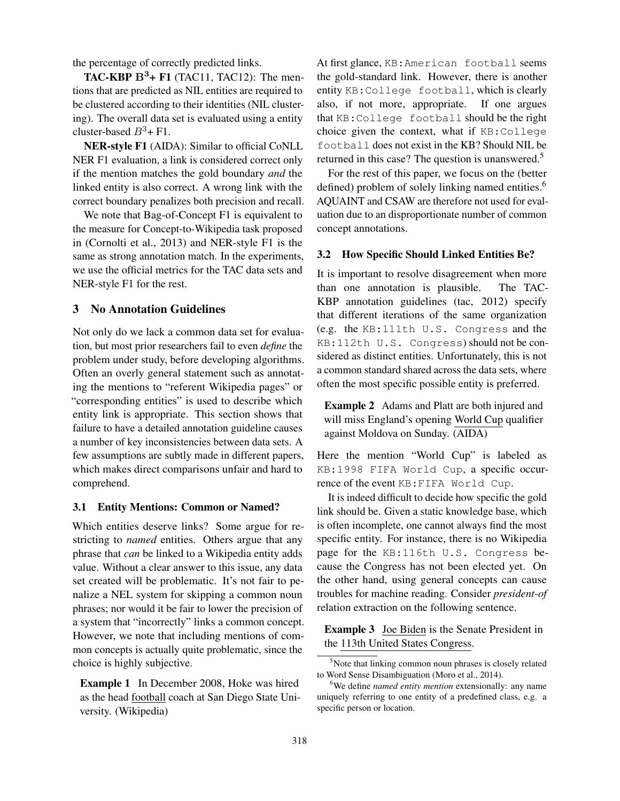the percentage of correctly predicted links.

TAC-KBP  $B^3$ + F1 (TAC11, TAC12): The mentions that are predicted as NIL entities are required to be clustered according to their identities (NIL clustering). The overall data set is evaluated using a entity cluster-based  $B^3$ + F1.

NER-style F1 (AIDA): Similar to official CoNLL NER F1 evaluation, a link is considered correct only if the mention matches the gold boundary *and* the linked entity is also correct. A wrong link with the correct boundary penalizes both precision and recall.

We note that Bag-of-Concept F1 is equivalent to the measure for Concept-to-Wikipedia task proposed in [\(Cornolti et al., 2013\)](#page-12-12) and NER-style F1 is the same as strong annotation match. In the experiments, we use the official metrics for the TAC data sets and NER-style F1 for the rest.

# <span id="page-3-0"></span>3 No Annotation Guidelines

Not only do we lack a common data set for evaluation, but most prior researchers fail to even *define* the problem under study, before developing algorithms. Often an overly general statement such as annotating the mentions to "referent Wikipedia pages" or "corresponding entities" is used to describe which entity link is appropriate. This section shows that failure to have a detailed annotation guideline causes a number of key inconsistencies between data sets. A few assumptions are subtly made in different papers, which makes direct comparisons unfair and hard to comprehend.

### <span id="page-3-1"></span>3.1 Entity Mentions: Common or Named?

Which entities deserve links? Some argue for restricting to *named* entities. Others argue that any phrase that *can* be linked to a Wikipedia entity adds value. Without a clear answer to this issue, any data set created will be problematic. It's not fair to penalize a NEL system for skipping a common noun phrases; nor would it be fair to lower the precision of a system that "incorrectly" links a common concept. However, we note that including mentions of common concepts is actually quite problematic, since the choice is highly subjective.

Example 1 In December 2008, Hoke was hired as the head football coach at San Diego State University. (Wikipedia)

At first glance, KB:American football seems the gold-standard link. However, there is another entity KB:College football, which is clearly also, if not more, appropriate. If one argues that KB:College football should be the right choice given the context, what if KB:College football does not exist in the KB? Should NIL be returned in this case? The question is unanswered.<sup>[5](#page-3-2)</sup>

For the rest of this paper, we focus on the (better defined) problem of solely linking named entities.<sup>[6](#page-3-3)</sup> AQUAINT and CSAW are therefore not used for evaluation due to an disproportionate number of common concept annotations.

## <span id="page-3-4"></span>3.2 How Specific Should Linked Entities Be?

It is important to resolve disagreement when more than one annotation is plausible. The TAC-KBP annotation guidelines [\(tac, 2012\)](#page-13-10) specify that different iterations of the same organization (e.g. the KB:111th U.S. Congress and the KB:112th U.S. Congress) should not be considered as distinct entities. Unfortunately, this is not a common standard shared across the data sets, where often the most specific possible entity is preferred.

Example 2 Adams and Platt are both injured and will miss England's opening World Cup qualifier against Moldova on Sunday. (AIDA)

Here the mention "World Cup" is labeled as KB:1998 FIFA World Cup, a specific occurrence of the event KB:FIFA World Cup.

It is indeed difficult to decide how specific the gold link should be. Given a static knowledge base, which is often incomplete, one cannot always find the most specific entity. For instance, there is no Wikipedia page for the KB:116th U.S. Congress because the Congress has not been elected yet. On the other hand, using general concepts can cause troubles for machine reading. Consider *president-of* relation extraction on the following sentence.

Example 3 Joe Biden is the Senate President in the 113th United States Congress.

<span id="page-3-2"></span><sup>&</sup>lt;sup>5</sup>Note that linking common noun phrases is closely related to Word Sense Disambiguation [\(Moro et al., 2014\)](#page-13-11).

<span id="page-3-3"></span><sup>&</sup>lt;sup>6</sup>We define *named entity mention* extensionally: any name uniquely referring to one entity of a predefined class, e.g. a specific person or location.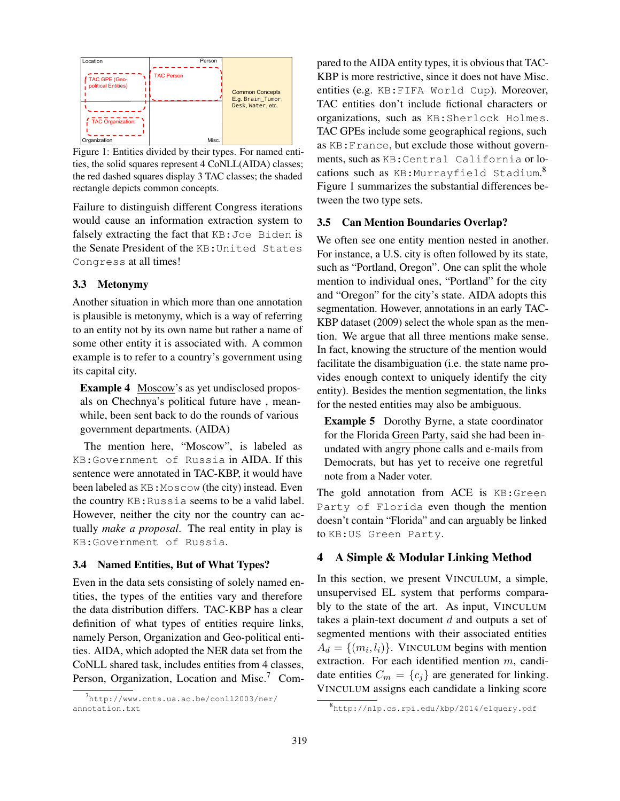

<span id="page-4-3"></span>Figure 1: Entities divided by their types. For named entities, the solid squares represent 4 CoNLL(AIDA) classes; the red dashed squares display 3 TAC classes; the shaded rectangle depicts common concepts.

Failure to distinguish different Congress iterations would cause an information extraction system to falsely extracting the fact that KB:Joe Biden is the Senate President of the KB:United States Congress at all times!

## <span id="page-4-4"></span>3.3 Metonymy

Another situation in which more than one annotation is plausible is metonymy, which is a way of referring to an entity not by its own name but rather a name of some other entity it is associated with. A common example is to refer to a country's government using its capital city.

Example 4 Moscow's as yet undisclosed proposals on Chechnya's political future have , meanwhile, been sent back to do the rounds of various government departments. (AIDA)

The mention here, "Moscow", is labeled as KB:Government of Russia in AIDA. If this sentence were annotated in TAC-KBP, it would have been labeled as KB: Moscow (the city) instead. Even the country KB:Russia seems to be a valid label. However, neither the city nor the country can actually *make a proposal*. The real entity in play is KB:Government of Russia.

## 3.4 Named Entities, But of What Types?

Even in the data sets consisting of solely named entities, the types of the entities vary and therefore the data distribution differs. TAC-KBP has a clear definition of what types of entities require links, namely Person, Organization and Geo-political entities. AIDA, which adopted the NER data set from the CoNLL shared task, includes entities from 4 classes, Person, Organization, Location and Misc.<sup>[7](#page-4-1)</sup> Compared to the AIDA entity types, it is obvious that TAC-KBP is more restrictive, since it does not have Misc. entities (e.g. KB:FIFA World Cup). Moreover, TAC entities don't include fictional characters or organizations, such as KB:Sherlock Holmes. TAC GPEs include some geographical regions, such as KB:France, but exclude those without governments, such as KB:Central California or locations such as KB:Murrayfield Stadium. [8](#page-4-2) Figure [1](#page-4-3) summarizes the substantial differences between the two type sets.

## 3.5 Can Mention Boundaries Overlap?

We often see one entity mention nested in another. For instance, a U.S. city is often followed by its state, such as "Portland, Oregon". One can split the whole mention to individual ones, "Portland" for the city and "Oregon" for the city's state. AIDA adopts this segmentation. However, annotations in an early TAC-KBP dataset (2009) select the whole span as the mention. We argue that all three mentions make sense. In fact, knowing the structure of the mention would facilitate the disambiguation (i.e. the state name provides enough context to uniquely identify the city entity). Besides the mention segmentation, the links for the nested entities may also be ambiguous.

Example 5 Dorothy Byrne, a state coordinator for the Florida Green Party, said she had been inundated with angry phone calls and e-mails from Democrats, but has yet to receive one regretful note from a Nader voter.

The gold annotation from ACE is KB:Green Party of Florida even though the mention doesn't contain "Florida" and can arguably be linked to KB:US Green Party.

## <span id="page-4-0"></span>4 A Simple & Modular Linking Method

In this section, we present VINCULUM, a simple, unsupervised EL system that performs comparably to the state of the art. As input, VINCULUM takes a plain-text document  $d$  and outputs a set of segmented mentions with their associated entities  $A_d = \{(m_i, l_i)\}\.$  VINCULUM begins with mention extraction. For each identified mention m, candidate entities  $C_m = \{c_j\}$  are generated for linking. VINCULUM assigns each candidate a linking score

<span id="page-4-1"></span><sup>7&</sup>lt;br>[http://www.cnts.ua.ac.be/conll2003/ner/](http://www.cnts.ua.ac.be/conll2003/ner/annotation.txt) [annotation.txt](http://www.cnts.ua.ac.be/conll2003/ner/annotation.txt)

<span id="page-4-2"></span><sup>8</sup> <http://nlp.cs.rpi.edu/kbp/2014/elquery.pdf>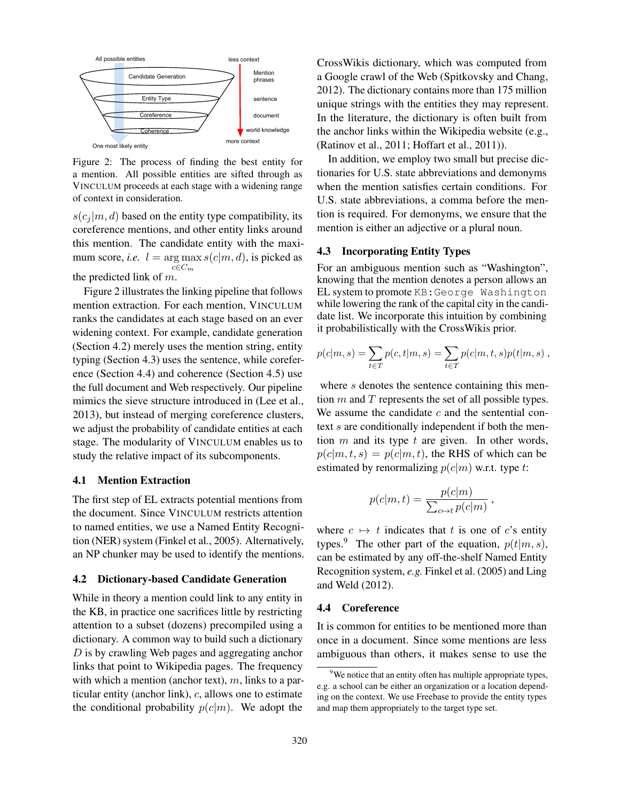

<span id="page-5-0"></span>Figure 2: The process of finding the best entity for a mention. All possible entities are sifted through as VINCULUM proceeds at each stage with a widening range of context in consideration.

 $s(c_i | m, d)$  based on the entity type compatibility, its coreference mentions, and other entity links around this mention. The candidate entity with the maximum score, *i.e.*  $l = \arg \max_{s \in C} s(c|m, d)$ , is picked as  $c \in C_m$ the predicted link of  $m$ .

Figure [2](#page-5-0) illustrates the linking pipeline that follows mention extraction. For each mention, VINCULUM ranks the candidates at each stage based on an ever widening context. For example, candidate generation (Section [4.2\)](#page-5-1) merely uses the mention string, entity typing (Section [4.3\)](#page-5-2) uses the sentence, while coreference (Section [4.4\)](#page-5-3) and coherence (Section [4.5\)](#page-6-1) use the full document and Web respectively. Our pipeline mimics the sieve structure introduced in [\(Lee et al.,](#page-13-12) [2013\)](#page-13-12), but instead of merging coreference clusters, we adjust the probability of candidate entities at each stage. The modularity of VINCULUM enables us to study the relative impact of its subcomponents.

#### 4.1 Mention Extraction

The first step of EL extracts potential mentions from the document. Since VINCULUM restricts attention to named entities, we use a Named Entity Recognition (NER) system [\(Finkel et al., 2005\)](#page-12-15). Alternatively, an NP chunker may be used to identify the mentions.

#### <span id="page-5-1"></span>4.2 Dictionary-based Candidate Generation

While in theory a mention could link to any entity in the KB, in practice one sacrifices little by restricting attention to a subset (dozens) precompiled using a dictionary. A common way to build such a dictionary D is by crawling Web pages and aggregating anchor links that point to Wikipedia pages. The frequency with which a mention (anchor text),  $m$ , links to a particular entity (anchor link),  $c$ , allows one to estimate the conditional probability  $p(c|m)$ . We adopt the CrossWikis dictionary, which was computed from a Google crawl of the Web [\(Spitkovsky and Chang,](#page-13-5) [2012\)](#page-13-5). The dictionary contains more than 175 million unique strings with the entities they may represent. In the literature, the dictionary is often built from the anchor links within the Wikipedia website (e.g., [\(Ratinov et al., 2011;](#page-13-3) [Hoffart et al., 2011\)](#page-12-6)).

In addition, we employ two small but precise dictionaries for U.S. state abbreviations and demonyms when the mention satisfies certain conditions. For U.S. state abbreviations, a comma before the mention is required. For demonyms, we ensure that the mention is either an adjective or a plural noun.

## <span id="page-5-2"></span>4.3 Incorporating Entity Types

For an ambiguous mention such as "Washington", knowing that the mention denotes a person allows an EL system to promote KB:George Washington while lowering the rank of the capital city in the candidate list. We incorporate this intuition by combining it probabilistically with the CrossWikis prior.

$$
p(c|m, s) = \sum_{t \in T} p(c, t|m, s) = \sum_{t \in T} p(c|m, t, s)p(t|m, s) ,
$$

where s denotes the sentence containing this mention  $m$  and  $T$  represents the set of all possible types. We assume the candidate  $c$  and the sentential context s are conditionally independent if both the mention  $m$  and its type  $t$  are given. In other words,  $p(c|m, t, s) = p(c|m, t)$ , the RHS of which can be estimated by renormalizing  $p(c|m)$  w.r.t. type t:

$$
p(c|m,t) = \frac{p(c|m)}{\sum_{c \mapsto t} p(c|m)}
$$

,

where  $c \mapsto t$  indicates that t is one of c's entity types.<sup>[9](#page-5-4)</sup> The other part of the equation,  $p(t|m, s)$ , can be estimated by any off-the-shelf Named Entity Recognition system, *e.g.* [Finkel et al. \(2005\)](#page-12-15) and [Ling](#page-13-13) [and Weld \(2012\)](#page-13-13).

#### <span id="page-5-3"></span>4.4 Coreference

It is common for entities to be mentioned more than once in a document. Since some mentions are less ambiguous than others, it makes sense to use the

<span id="page-5-4"></span><sup>&</sup>lt;sup>9</sup>We notice that an entity often has multiple appropriate types, e.g. a school can be either an organization or a location depending on the context. We use Freebase to provide the entity types and map them appropriately to the target type set.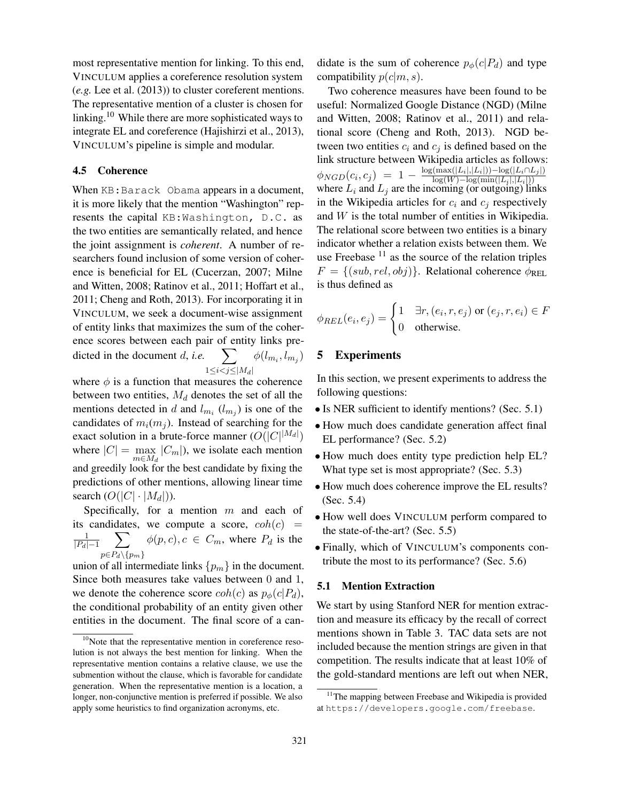most representative mention for linking. To this end, VINCULUM applies a coreference resolution system (*e.g.* [Lee et al. \(2013\)](#page-13-12)) to cluster coreferent mentions. The representative mention of a cluster is chosen for linking.[10](#page-6-2) While there are more sophisticated ways to integrate EL and coreference [\(Hajishirzi et al., 2013\)](#page-12-3), VINCULUM's pipeline is simple and modular.

## <span id="page-6-1"></span>4.5 Coherence

When KB: Barack Obama appears in a document, it is more likely that the mention "Washington" represents the capital KB:Washington, D.C. as the two entities are semantically related, and hence the joint assignment is *coherent*. A number of researchers found inclusion of some version of coherence is beneficial for EL [\(Cucerzan, 2007;](#page-12-7) [Milne](#page-13-2) [and Witten, 2008;](#page-13-2) [Ratinov et al., 2011;](#page-13-3) [Hoffart et al.,](#page-12-6) [2011;](#page-12-6) [Cheng and Roth, 2013\)](#page-12-5). For incorporating it in VINCULUM, we seek a document-wise assignment of entity links that maximizes the sum of the coherence scores between each pair of entity links predicted in the document  $d$ , *i.e.*  $1 \leq i < j \leq |M_d|$  $\phi(l_{m_i},l_{m_j})$ 

where  $\phi$  is a function that measures the coherence between two entities,  $M_d$  denotes the set of all the mentions detected in d and  $l_{m_i}$  ( $l_{m_j}$ ) is one of the candidates of  $m_i(m_j)$ . Instead of searching for the exact solution in a brute-force manner  $(O(|C|^{|M_d|}))$ where  $|C| = \max_{m \in M_d} |C_m|$ , we isolate each mention and greedily look for the best candidate by fixing the predictions of other mentions, allowing linear time search  $(O(|C| \cdot |M_d|)).$ 

Specifically, for a mention  $m$  and each of its candidates, we compute a score,  $coh(c)$  = 1  $|P_d|-1$  $\sum \phi(p, c), c \in C_m$ , where  $P_d$  is the  $p \in P_d \setminus \{p_m\}$ 

union of all intermediate links  $\{p_m\}$  in the document. Since both measures take values between 0 and 1, we denote the coherence score  $coh(c)$  as  $p_{\phi}(c|P_d)$ , the conditional probability of an entity given other entities in the document. The final score of a candidate is the sum of coherence  $p_{\phi}(c|P_d)$  and type compatibility  $p(c|m, s)$ .

Two coherence measures have been found to be useful: Normalized Google Distance (NGD) [\(Milne](#page-13-2) [and Witten, 2008;](#page-13-2) [Ratinov et al., 2011\)](#page-13-3) and relational score [\(Cheng and Roth, 2013\)](#page-12-5). NGD between two entities  $c_i$  and  $c_j$  is defined based on the link structure between Wikipedia articles as follows:  $\phi_{NGD}(c_i, c_j)$  =  $1 - \frac{\log(\max(|L_i|, |L_i|)) - \log(|L_i \cap L_j|)}{\log(W) - \log(\min(|L_i|, |L_i|))}$  $\psi_{NGD}(G, G) = 1$   $\log(W) - \log(\min(|L_i|, |L_i|))$ <br>where  $L_i$  and  $L_j$  are the incoming (or outgoing) links in the Wikipedia articles for  $c_i$  and  $c_j$  respectively and  $W$  is the total number of entities in Wikipedia. The relational score between two entities is a binary indicator whether a relation exists between them. We use Freebase  $11$  as the source of the relation triples  $F = \{(sub, rel, obj)\}\.$  Relational coherence  $\phi_{REL}$ is thus defined as

$$
\phi_{REL}(e_i, e_j) = \begin{cases} 1 & \exists r, (e_i, r, e_j) \text{ or } (e_j, r, e_i) \in F \\ 0 & \text{otherwise.} \end{cases}
$$

## <span id="page-6-0"></span>5 Experiments

In this section, we present experiments to address the following questions:

- Is NER sufficient to identify mentions? (Sec. [5.1\)](#page-6-4)
- How much does candidate generation affect final EL performance? (Sec. [5.2\)](#page-7-0)
- How much does entity type prediction help EL? What type set is most appropriate? (Sec. [5.3\)](#page-8-0)
- How much does coherence improve the EL results? (Sec. [5.4\)](#page-8-1)
- How well does VINCULUM perform compared to the state-of-the-art? (Sec. [5.5\)](#page-8-2)
- Finally, which of VINCULUM's components contribute the most to its performance? (Sec. [5.6\)](#page-9-0)

## <span id="page-6-4"></span>5.1 Mention Extraction

We start by using Stanford NER for mention extraction and measure its efficacy by the recall of correct mentions shown in Table [3.](#page-7-1) TAC data sets are not included because the mention strings are given in that competition. The results indicate that at least 10% of the gold-standard mentions are left out when NER,

<span id="page-6-2"></span> $10$ Note that the representative mention in coreference resolution is not always the best mention for linking. When the representative mention contains a relative clause, we use the submention without the clause, which is favorable for candidate generation. When the representative mention is a location, a longer, non-conjunctive mention is preferred if possible. We also apply some heuristics to find organization acronyms, etc.

<span id="page-6-3"></span><sup>&</sup>lt;sup>11</sup>The mapping between Freebase and Wikipedia is provided at <https://developers.google.com/freebase>.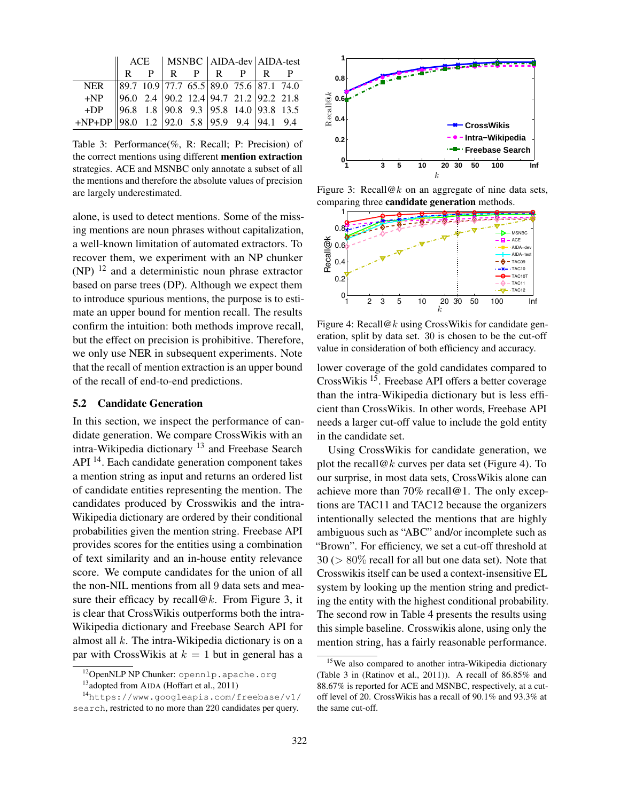|                                                                                                                                                                                      |  |  |                                 | ACE   MSNBC   AIDA-dev   AIDA-test |  |
|--------------------------------------------------------------------------------------------------------------------------------------------------------------------------------------|--|--|---------------------------------|------------------------------------|--|
|                                                                                                                                                                                      |  |  | $R$ $P$ $R$ $P$ $R$ $P$ $R$ $P$ |                                    |  |
| NER 89.7 10.9 77.7 65.5 89.0 75.6 87.1 74.0<br>+NP 96.0 2.4 90.2 12.4 94.7 21.2 92.2 21.8<br>+DP 96.8 1.8 90.8 9.3 95.8 14.0 93.8 13.5<br>+NP+DP 98.0 1.2 92.0 5.8 95.9 9.4 94.1 9.4 |  |  |                                 |                                    |  |
|                                                                                                                                                                                      |  |  |                                 |                                    |  |
|                                                                                                                                                                                      |  |  |                                 |                                    |  |
|                                                                                                                                                                                      |  |  |                                 |                                    |  |

<span id="page-7-1"></span>Table 3: Performance(%, R: Recall; P: Precision) of the correct mentions using different mention extraction strategies. ACE and MSNBC only annotate a subset of all the mentions and therefore the absolute values of precision are largely underestimated.

alone, is used to detect mentions. Some of the missing mentions are noun phrases without capitalization, a well-known limitation of automated extractors. To recover them, we experiment with an NP chunker (NP) [12](#page-7-2) and a deterministic noun phrase extractor based on parse trees (DP). Although we expect them to introduce spurious mentions, the purpose is to estimate an upper bound for mention recall. The results confirm the intuition: both methods improve recall, but the effect on precision is prohibitive. Therefore, we only use NER in subsequent experiments. Note that the recall of mention extraction is an upper bound of the recall of end-to-end predictions.

## <span id="page-7-0"></span>5.2 Candidate Generation

In this section, we inspect the performance of candidate generation. We compare CrossWikis with an intra-Wikipedia dictionary  $13$  and Freebase Search API<sup>[14](#page-7-4)</sup>. Each candidate generation component takes a mention string as input and returns an ordered list of candidate entities representing the mention. The candidates produced by Crosswikis and the intra-Wikipedia dictionary are ordered by their conditional probabilities given the mention string. Freebase API provides scores for the entities using a combination of text similarity and an in-house entity relevance score. We compute candidates for the union of all the non-NIL mentions from all 9 data sets and measure their efficacy by recall  $@k$ . From Figure [3,](#page-7-5) it is clear that CrossWikis outperforms both the intra-Wikipedia dictionary and Freebase Search API for almost all  $k$ . The intra-Wikipedia dictionary is on a par with CrossWikis at  $k = 1$  but in general has a

<span id="page-7-2"></span>

<span id="page-7-4"></span><span id="page-7-3"></span><sup>&</sup>lt;sup>13</sup>adopted from AIDA [\(Hoffart et al., 2011\)](#page-12-6)



<span id="page-7-5"></span>Figure 3: Recall@k on an aggregate of nine data sets, comparing three candidate generation methods.



<span id="page-7-7"></span>Figure 4: Recall@k using CrossWikis for candidate generation, split by data set. 30 is chosen to be the cut-off value in consideration of both efficiency and accuracy.

lower coverage of the gold candidates compared to CrossWikis [15](#page-7-6). Freebase API offers a better coverage than the intra-Wikipedia dictionary but is less efficient than CrossWikis. In other words, Freebase API needs a larger cut-off value to include the gold entity in the candidate set.

Using CrossWikis for candidate generation, we plot the recall  $@k$  curves per data set (Figure [4\)](#page-7-7). To our surprise, in most data sets, CrossWikis alone can achieve more than 70% recall@1. The only exceptions are TAC11 and TAC12 because the organizers intentionally selected the mentions that are highly ambiguous such as "ABC" and/or incomplete such as "Brown". For efficiency, we set a cut-off threshold at  $30$  ( $> 80\%$  recall for all but one data set). Note that Crosswikis itself can be used a context-insensitive EL system by looking up the mention string and predicting the entity with the highest conditional probability. The second row in Table [4](#page-8-3) presents the results using this simple baseline. Crosswikis alone, using only the mention string, has a fairly reasonable performance.

<sup>14</sup>[https://www.googleapis.com/freebase/v1/](https://www.googleapis.com/freebase/v1/search) [search](https://www.googleapis.com/freebase/v1/search), restricted to no more than 220 candidates per query.

<span id="page-7-6"></span><sup>&</sup>lt;sup>15</sup>We also compared to another intra-Wikipedia dictionary (Table 3 in [\(Ratinov et al., 2011\)](#page-13-3)). A recall of 86.85% and 88.67% is reported for ACE and MSNBC, respectively, at a cutoff level of 20. CrossWikis has a recall of 90.1% and 93.3% at the same cut-off.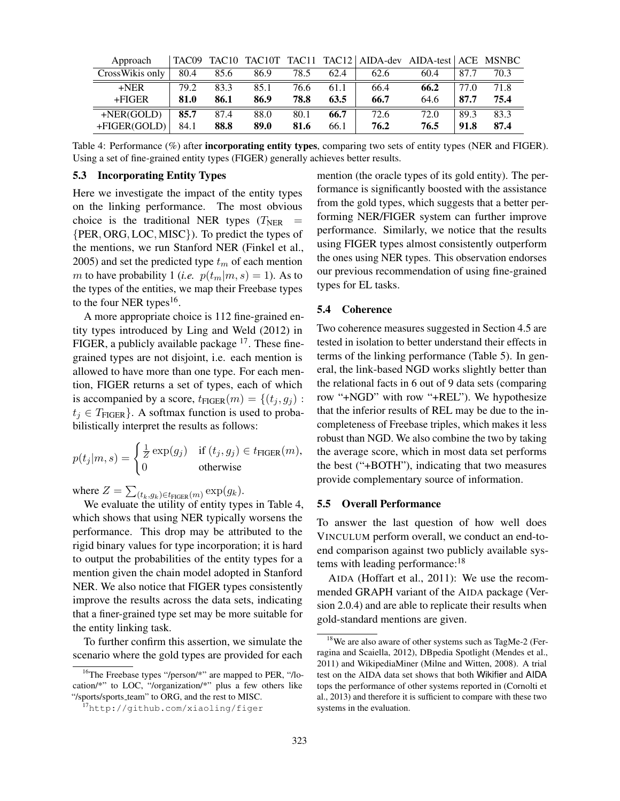| Approach                  |      |      |      |      |      | TAC09 TAC10 TAC10T TAC11 TAC12 AIDA-dev AIDA-test ACE MSNBC |      |      |      |
|---------------------------|------|------|------|------|------|-------------------------------------------------------------|------|------|------|
| $CrossWikis$ only $\vert$ | 80.4 | 85.6 | 86.9 | 78.5 | 62.4 | 62.6                                                        | 60.4 | 87.7 | 70.3 |
| $+NER$                    | 79.2 | 83.3 | 85.1 | 76.6 | 61.1 | 66.4                                                        | 66.2 | 77.0 | 71.8 |
| $+FIGER$                  | 81.0 | 86.1 | 86.9 | 78.8 | 63.5 | 66.7                                                        | 64.6 | 87.7 | 75.4 |
| $+NER(GOLD)$              | 85.7 | 87.4 | 88.0 | 80.1 | 66.7 | 72.6                                                        | 72.0 | 89.3 | 83.3 |
| $+FIGER(GOLD)$            | 84.1 | 88.8 | 89.0 | 81.6 | 66.1 | 76.2                                                        | 76.5 | 91.8 | 87.4 |

<span id="page-8-3"></span>Table 4: Performance (%) after **incorporating entity types**, comparing two sets of entity types (NER and FIGER). Using a set of fine-grained entity types (FIGER) generally achieves better results.

## <span id="page-8-0"></span>5.3 Incorporating Entity Types

Here we investigate the impact of the entity types on the linking performance. The most obvious choice is the traditional NER types  $(T<sub>NER</sub>)$ {PER, ORG, LOC, MISC}). To predict the types of the mentions, we run Stanford NER [\(Finkel et al.,](#page-12-15) [2005\)](#page-12-15) and set the predicted type  $t_m$  of each mention m to have probability 1 (*i.e.*  $p(t_m|m, s) = 1$ ). As to the types of the entities, we map their Freebase types to the four NER types<sup>[16](#page-8-4)</sup>.

A more appropriate choice is 112 fine-grained entity types introduced by [Ling and Weld \(2012\)](#page-13-13) in FIGER, a publicly available package <sup>[17](#page-8-5)</sup>. These finegrained types are not disjoint, i.e. each mention is allowed to have more than one type. For each mention, FIGER returns a set of types, each of which is accompanied by a score,  $t_{\text{FIGER}}(m) = \{(t_i, g_i):$  $t_i \in T_{\text{FIGER}}$ . A softmax function is used to probabilistically interpret the results as follows:

$$
p(t_j|m, s) = \begin{cases} \frac{1}{Z} \exp(g_j) & \text{if } (t_j, g_j) \in t_{\text{FIGER}}(m), \\ 0 & \text{otherwise} \end{cases}
$$

where  $Z = \sum_{(t_k,g_k) \in t_{\text{FIGER}}(m)} \exp(g_k)$ .

We evaluate the utility of entity types in Table [4,](#page-8-3) which shows that using NER typically worsens the performance. This drop may be attributed to the rigid binary values for type incorporation; it is hard to output the probabilities of the entity types for a mention given the chain model adopted in Stanford NER. We also notice that FIGER types consistently improve the results across the data sets, indicating that a finer-grained type set may be more suitable for the entity linking task.

To further confirm this assertion, we simulate the scenario where the gold types are provided for each mention (the oracle types of its gold entity). The performance is significantly boosted with the assistance from the gold types, which suggests that a better performing NER/FIGER system can further improve performance. Similarly, we notice that the results using FIGER types almost consistently outperform the ones using NER types. This observation endorses our previous recommendation of using fine-grained types for EL tasks.

### <span id="page-8-1"></span>5.4 Coherence

Two coherence measures suggested in Section [4.5](#page-6-1) are tested in isolation to better understand their effects in terms of the linking performance (Table [5\)](#page-9-1). In general, the link-based NGD works slightly better than the relational facts in 6 out of 9 data sets (comparing row "+NGD" with row "+REL"). We hypothesize that the inferior results of REL may be due to the incompleteness of Freebase triples, which makes it less robust than NGD. We also combine the two by taking the average score, which in most data set performs the best ("+BOTH"), indicating that two measures provide complementary source of information.

#### <span id="page-8-2"></span>5.5 Overall Performance

To answer the last question of how well does VINCULUM perform overall, we conduct an end-toend comparison against two publicly available sys-tems with leading performance:<sup>[18](#page-8-6)</sup>

AIDA [\(Hoffart et al., 2011\)](#page-12-6): We use the recommended GRAPH variant of the AIDA package (Version 2.0.4) and are able to replicate their results when gold-standard mentions are given.

<span id="page-8-4"></span><sup>&</sup>lt;sup>16</sup>The Freebase types "/person/\*" are mapped to PER, "/location/\*" to LOC, "/organization/\*" plus a few others like "/sports/sports\_team" to ORG, and the rest to MISC.

<span id="page-8-5"></span><sup>17</sup><http://github.com/xiaoling/figer>

<span id="page-8-6"></span><sup>&</sup>lt;sup>18</sup>We are also aware of other systems such as TagMe-2 [\(Fer](#page-12-16)[ragina and Scaiella, 2012\)](#page-12-16), DBpedia Spotlight [\(Mendes et al.,](#page-13-7) [2011\)](#page-13-7) and WikipediaMiner [\(Milne and Witten, 2008\)](#page-13-2). A trial test on the AIDA data set shows that both Wikifier and AIDA tops the performance of other systems reported in [\(Cornolti et](#page-12-12) [al., 2013\)](#page-12-12) and therefore it is sufficient to compare with these two systems in the evaluation.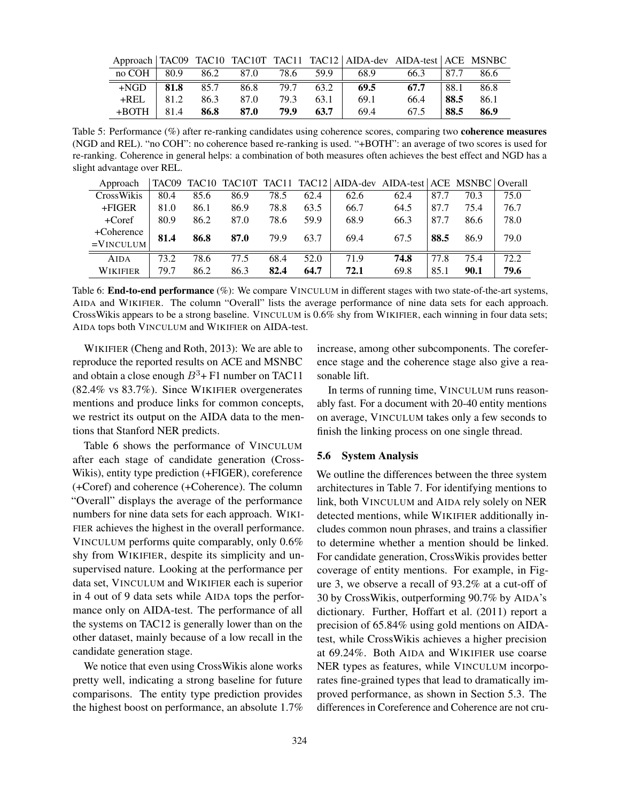|                  |       |      |      |      |      |                                                        | Approach   TAC09 TAC10 TAC10T TAC11 TAC12   AIDA-dev AIDA-test   ACE MSNBC |                   |        |
|------------------|-------|------|------|------|------|--------------------------------------------------------|----------------------------------------------------------------------------|-------------------|--------|
|                  |       |      |      |      |      | $\text{no COH}$   80.9 86.2 87.0 78.6 59.9   68.9 66.3 |                                                                            | $\frac{187.7}{ }$ | - 86.6 |
| $+NGD$           | 81.8  | 85.7 | 86.8 |      |      | 79.7 63.2 69.5                                         | 67.7                                                                       | 88.1              | 86.8   |
| $+REL$           | 81.2  | 86.3 | 87.0 | 79.3 | 63.1 | 69.1                                                   | 66.4                                                                       | 88.5              | 86.1   |
| $+$ BOTH $\perp$ | 181.4 | 86.8 | 87.0 | 79.9 | 63.7 | 69.4                                                   | 67.5                                                                       | 88.5              | 86.9   |

<span id="page-9-1"></span>Table 5: Performance (%) after re-ranking candidates using coherence scores, comparing two **coherence measures** (NGD and REL). "no COH": no coherence based re-ranking is used. "+BOTH": an average of two scores is used for re-ranking. Coherence in general helps: a combination of both measures often achieves the best effect and NGD has a slight advantage over REL.

| Approach        |      |      |      |      |      |      | TAC09 TAC10 TAC10T TAC11 TAC12   AIDA-dev AIDA-test   ACE MSNBC   Overall |      |      |      |
|-----------------|------|------|------|------|------|------|---------------------------------------------------------------------------|------|------|------|
| CrossWikis      | 80.4 | 85.6 | 86.9 | 78.5 | 62.4 | 62.6 | 62.4                                                                      | 87.7 | 70.3 | 75.0 |
| $+FIGER$        | 81.0 | 86.1 | 86.9 | 78.8 | 63.5 | 66.7 | 64.5                                                                      | 87.7 | 75.4 | 76.7 |
| $+Coref$        | 80.9 | 86.2 | 87.0 | 78.6 | 59.9 | 68.9 | 66.3                                                                      | 87.7 | 86.6 | 78.0 |
| +Coherence      | 81.4 | 86.8 | 87.0 | 79.9 | 63.7 | 69.4 | 67.5                                                                      | 88.5 | 86.9 | 79.0 |
| $=$ VINCULUM    |      |      |      |      |      |      |                                                                           |      |      |      |
| <b>AIDA</b>     | 73.2 | 78.6 | 77.5 | 68.4 | 52.0 | 71.9 | 74.8                                                                      | 77.8 | 75.4 | 72.2 |
| <b>WIKIFIER</b> | 79.7 | 86.2 | 86.3 | 82.4 | 64.7 | 72.1 | 69.8                                                                      | 85.1 | 90.1 | 79.6 |

<span id="page-9-2"></span>Table 6: **End-to-end performance** (%): We compare VINCULUM in different stages with two state-of-the-art systems, AIDA and WIKIFIER. The column "Overall" lists the average performance of nine data sets for each approach. CrossWikis appears to be a strong baseline. VINCULUM is 0.6% shy from WIKIFIER, each winning in four data sets; AIDA tops both VINCULUM and WIKIFIER on AIDA-test.

WIKIFIER [\(Cheng and Roth, 2013\)](#page-12-5): We are able to reproduce the reported results on ACE and MSNBC and obtain a close enough  $B^3$ + F1 number on TAC11 (82.4% vs 83.7%). Since WIKIFIER overgenerates mentions and produce links for common concepts, we restrict its output on the AIDA data to the mentions that Stanford NER predicts.

Table [6](#page-9-2) shows the performance of VINCULUM after each stage of candidate generation (Cross-Wikis), entity type prediction (+FIGER), coreference (+Coref) and coherence (+Coherence). The column "Overall" displays the average of the performance numbers for nine data sets for each approach. WIKI-FIER achieves the highest in the overall performance. VINCULUM performs quite comparably, only 0.6% shy from WIKIFIER, despite its simplicity and unsupervised nature. Looking at the performance per data set, VINCULUM and WIKIFIER each is superior in 4 out of 9 data sets while AIDA tops the performance only on AIDA-test. The performance of all the systems on TAC12 is generally lower than on the other dataset, mainly because of a low recall in the candidate generation stage.

We notice that even using CrossWikis alone works pretty well, indicating a strong baseline for future comparisons. The entity type prediction provides the highest boost on performance, an absolute 1.7% increase, among other subcomponents. The coreference stage and the coherence stage also give a reasonable lift.

In terms of running time, VINCULUM runs reasonably fast. For a document with 20-40 entity mentions on average, VINCULUM takes only a few seconds to finish the linking process on one single thread.

### <span id="page-9-0"></span>5.6 System Analysis

We outline the differences between the three system architectures in Table [7.](#page-10-0) For identifying mentions to link, both VINCULUM and AIDA rely solely on NER detected mentions, while WIKIFIER additionally includes common noun phrases, and trains a classifier to determine whether a mention should be linked. For candidate generation, CrossWikis provides better coverage of entity mentions. For example, in Figure [3,](#page-7-5) we observe a recall of 93.2% at a cut-off of 30 by CrossWikis, outperforming 90.7% by AIDA's dictionary. Further, [Hoffart et al. \(2011\)](#page-12-6) report a precision of 65.84% using gold mentions on AIDAtest, while CrossWikis achieves a higher precision at 69.24%. Both AIDA and WIKIFIER use coarse NER types as features, while VINCULUM incorporates fine-grained types that lead to dramatically improved performance, as shown in Section [5.3.](#page-8-0) The differences in Coreference and Coherence are not cru-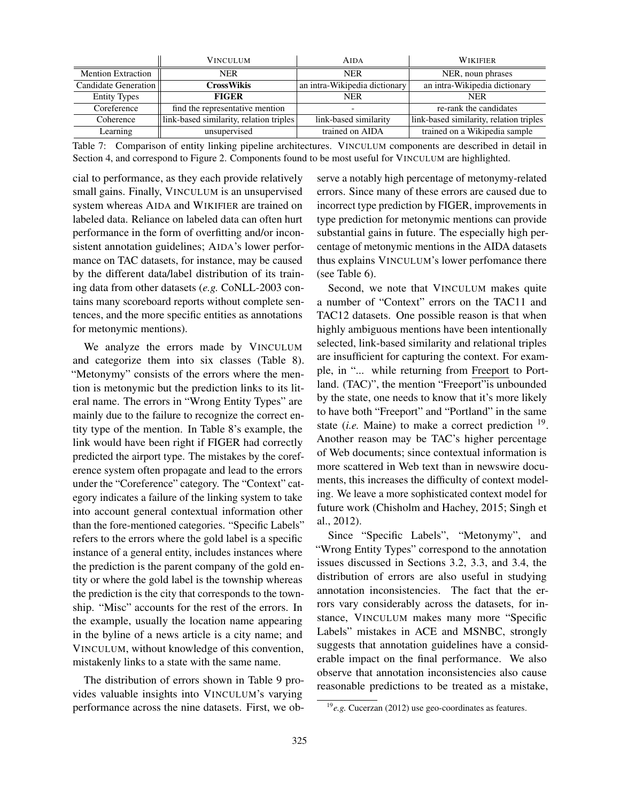|                           | <b>VINCULUM</b>                         | <b>AIDA</b>                   | <b>WIKIFIER</b>                         |
|---------------------------|-----------------------------------------|-------------------------------|-----------------------------------------|
| <b>Mention Extraction</b> | <b>NER</b>                              | <b>NER</b>                    | NER, noun phrases                       |
| Candidate Generation      | CrossWikis                              | an intra-Wikipedia dictionary | an intra-Wikipedia dictionary           |
| <b>Entity Types</b>       | <b>FIGER</b>                            | <b>NER</b>                    | <b>NER</b>                              |
| Coreference               | find the representative mention         |                               | re-rank the candidates                  |
| Coherence                 | link-based similarity, relation triples | link-based similarity         | link-based similarity, relation triples |
| Learning                  | unsupervised                            | trained on AIDA               | trained on a Wikipedia sample           |

<span id="page-10-0"></span>Table 7: Comparison of entity linking pipeline architectures. VINCULUM components are described in detail in Section [4,](#page-4-0) and correspond to Figure [2.](#page-5-0) Components found to be most useful for VINCULUM are highlighted.

cial to performance, as they each provide relatively small gains. Finally, VINCULUM is an unsupervised system whereas AIDA and WIKIFIER are trained on labeled data. Reliance on labeled data can often hurt performance in the form of overfitting and/or inconsistent annotation guidelines; AIDA's lower performance on TAC datasets, for instance, may be caused by the different data/label distribution of its training data from other datasets (*e.g.* CoNLL-2003 contains many scoreboard reports without complete sentences, and the more specific entities as annotations for metonymic mentions).

We analyze the errors made by VINCULUM and categorize them into six classes (Table [8\)](#page-11-0). "Metonymy" consists of the errors where the mention is metonymic but the prediction links to its literal name. The errors in "Wrong Entity Types" are mainly due to the failure to recognize the correct entity type of the mention. In Table [8'](#page-11-0)s example, the link would have been right if FIGER had correctly predicted the airport type. The mistakes by the coreference system often propagate and lead to the errors under the "Coreference" category. The "Context" category indicates a failure of the linking system to take into account general contextual information other than the fore-mentioned categories. "Specific Labels" refers to the errors where the gold label is a specific instance of a general entity, includes instances where the prediction is the parent company of the gold entity or where the gold label is the township whereas the prediction is the city that corresponds to the township. "Misc" accounts for the rest of the errors. In the example, usually the location name appearing in the byline of a news article is a city name; and VINCULUM, without knowledge of this convention, mistakenly links to a state with the same name.

The distribution of errors shown in Table [9](#page-11-1) provides valuable insights into VINCULUM's varying performance across the nine datasets. First, we observe a notably high percentage of metonymy-related errors. Since many of these errors are caused due to incorrect type prediction by FIGER, improvements in type prediction for metonymic mentions can provide substantial gains in future. The especially high percentage of metonymic mentions in the AIDA datasets thus explains VINCULUM's lower perfomance there (see Table [6\)](#page-9-2).

Second, we note that VINCULUM makes quite a number of "Context" errors on the TAC11 and TAC12 datasets. One possible reason is that when highly ambiguous mentions have been intentionally selected, link-based similarity and relational triples are insufficient for capturing the context. For example, in "... while returning from Freeport to Portland. (TAC)", the mention "Freeport"is unbounded by the state, one needs to know that it's more likely to have both "Freeport" and "Portland" in the same state  $(i.e.$  Maine) to make a correct prediction  $19$ . Another reason may be TAC's higher percentage of Web documents; since contextual information is more scattered in Web text than in newswire documents, this increases the difficulty of context modeling. We leave a more sophisticated context model for future work [\(Chisholm and Hachey, 2015;](#page-12-17) [Singh et](#page-13-14) [al., 2012\)](#page-13-14).

Since "Specific Labels", "Metonymy", and "Wrong Entity Types" correspond to the annotation issues discussed in Sections [3.2,](#page-3-4) [3.3,](#page-4-4) and [3.4,](#page-4-3) the distribution of errors are also useful in studying annotation inconsistencies. The fact that the errors vary considerably across the datasets, for instance, VINCULUM makes many more "Specific Labels" mistakes in ACE and MSNBC, strongly suggests that annotation guidelines have a considerable impact on the final performance. We also observe that annotation inconsistencies also cause reasonable predictions to be treated as a mistake,

<span id="page-10-1"></span><sup>19</sup>*e.g.* [Cucerzan \(2012\)](#page-12-18) use geo-coordinates as features.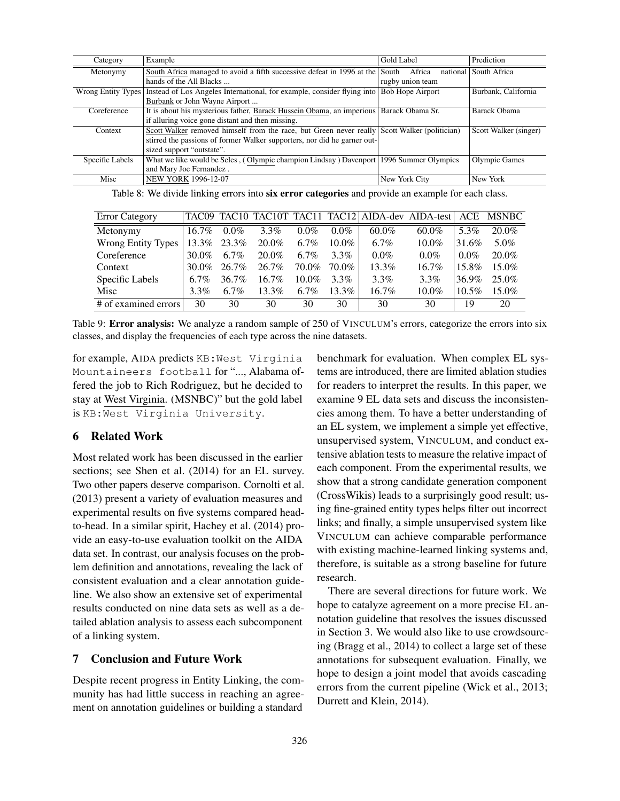| Category           | Example                                                                                      | Gold Label              | Prediction            |  |
|--------------------|----------------------------------------------------------------------------------------------|-------------------------|-----------------------|--|
| Metonymy           | South Africa managed to avoid a fifth successive defeat in 1996 at the                       | Africa<br>South         | national South Africa |  |
|                    | hands of the All Blacks                                                                      | rugby union team        |                       |  |
| Wrong Entity Types | Instead of Los Angeles International, for example, consider flying into                      | <b>Bob Hope Airport</b> | Burbank, California   |  |
|                    | Burbank or John Wayne Airport                                                                |                         |                       |  |
| Coreference        | It is about his mysterious father, Barack Hussein Obama, an imperious Barack Obama Sr.       |                         | <b>Barack Obama</b>   |  |
|                    | if alluring voice gone distant and then missing.                                             |                         |                       |  |
| Context            | Scott Walker removed himself from the race, but Green never really Scott Walker (politician) |                         | Scott Walker (singer) |  |
|                    | stirred the passions of former Walker supporters, nor did he garner out-                     |                         |                       |  |
|                    | sized support "outstate".                                                                    |                         |                       |  |
| Specific Labels    | What we like would be Seles, (Olympic champion Lindsay) Davenport                            | 1996 Summer Olympics    | <b>Olympic Games</b>  |  |
|                    | and Mary Joe Fernandez.                                                                      |                         |                       |  |
| Misc               | NEW YORK 1996-12-07                                                                          | New York City           | New York              |  |

<span id="page-11-0"></span>Table 8: We divide linking errors into six error categories and provide an example for each class.

| <b>Error Category</b>     |          |          |          |          |          |          | TAC09 TAC10 TAC10T TAC11 TAC12 AIDA-dev AIDA-test ACE |          | <b>MSNBC</b> |
|---------------------------|----------|----------|----------|----------|----------|----------|-------------------------------------------------------|----------|--------------|
| Metonymy                  | $16.7\%$ | $0.0\%$  | $3.3\%$  | $0.0\%$  | $0.0\%$  | $60.0\%$ | $60.0\%$                                              | 5.3%     | $20.0\%$     |
| <b>Wrong Entity Types</b> | $13.3\%$ | 23.3%    | 20.0%    | $6.7\%$  | $10.0\%$ | $6.7\%$  | $10.0\%$                                              | 31.6%    | 5.0%         |
| Coreference               | 30.0%    | 6.7%     | $20.0\%$ | 6.7%     | $3.3\%$  | $0.0\%$  | $0.0\%$                                               | $0.0\%$  | $20.0\%$     |
| Context                   | 30.0%    | 26.7%    | 26.7%    | 70.0%    | 70.0%    | 13.3%    | $16.7\%$                                              | 15.8%    | $15.0\%$     |
| Specific Labels           | 6.7%     | $36.7\%$ | $16.7\%$ | $10.0\%$ | $3.3\%$  | $3.3\%$  | $3.3\%$                                               | 36.9%    | $25.0\%$     |
| Misc                      | $3.3\%$  | $6.7\%$  | $13.3\%$ | $6.7\%$  | $13.3\%$ | $16.7\%$ | $10.0\%$                                              | $10.5\%$ | $15.0\%$     |
| # of examined errors      | 30       | 30       | 30       | 30       | 30       | 30       | 30                                                    | 19       | 20           |

<span id="page-11-1"></span>Table 9: Error analysis: We analyze a random sample of 250 of VINCULUM's errors, categorize the errors into six classes, and display the frequencies of each type across the nine datasets.

for example, AIDA predicts KB:West Virginia Mountaineers football for "..., Alabama offered the job to Rich Rodriguez, but he decided to stay at West Virginia. (MSNBC)" but the gold label is KB: West Virginia University.

# 6 Related Work

Most related work has been discussed in the earlier sections; see [Shen et al. \(2014\)](#page-13-15) for an EL survey. Two other papers deserve comparison. [Cornolti et al.](#page-12-12) [\(2013\)](#page-12-12) present a variety of evaluation measures and experimental results on five systems compared headto-head. In a similar spirit, [Hachey et al. \(2014\)](#page-12-19) provide an easy-to-use evaluation toolkit on the AIDA data set. In contrast, our analysis focuses on the problem definition and annotations, revealing the lack of consistent evaluation and a clear annotation guideline. We also show an extensive set of experimental results conducted on nine data sets as well as a detailed ablation analysis to assess each subcomponent of a linking system.

## 7 Conclusion and Future Work

Despite recent progress in Entity Linking, the community has had little success in reaching an agreement on annotation guidelines or building a standard

benchmark for evaluation. When complex EL systems are introduced, there are limited ablation studies for readers to interpret the results. In this paper, we examine 9 EL data sets and discuss the inconsistencies among them. To have a better understanding of an EL system, we implement a simple yet effective, unsupervised system, VINCULUM, and conduct extensive ablation tests to measure the relative impact of each component. From the experimental results, we show that a strong candidate generation component (CrossWikis) leads to a surprisingly good result; using fine-grained entity types helps filter out incorrect links; and finally, a simple unsupervised system like VINCULUM can achieve comparable performance with existing machine-learned linking systems and, therefore, is suitable as a strong baseline for future research.

There are several directions for future work. We hope to catalyze agreement on a more precise EL annotation guideline that resolves the issues discussed in Section [3.](#page-3-0) We would also like to use crowdsourcing [\(Bragg et al., 2014\)](#page-12-20) to collect a large set of these annotations for subsequent evaluation. Finally, we hope to design a joint model that avoids cascading errors from the current pipeline [\(Wick et al., 2013;](#page-13-16) [Durrett and Klein, 2014\)](#page-12-4).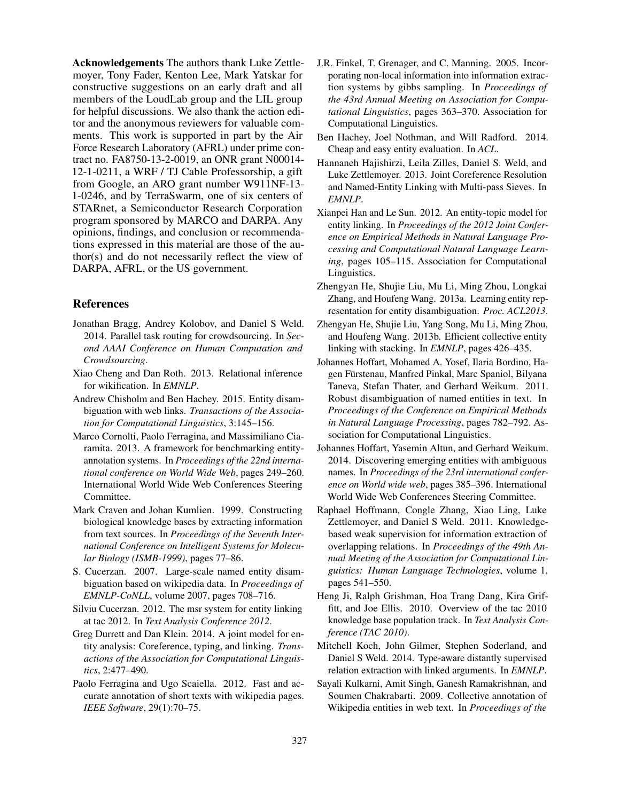Acknowledgements The authors thank Luke Zettlemoyer, Tony Fader, Kenton Lee, Mark Yatskar for constructive suggestions on an early draft and all members of the LoudLab group and the LIL group for helpful discussions. We also thank the action editor and the anonymous reviewers for valuable comments. This work is supported in part by the Air Force Research Laboratory (AFRL) under prime contract no. FA8750-13-2-0019, an ONR grant N00014- 12-1-0211, a WRF / TJ Cable Professorship, a gift from Google, an ARO grant number W911NF-13- 1-0246, and by TerraSwarm, one of six centers of STARnet, a Semiconductor Research Corporation program sponsored by MARCO and DARPA. Any opinions, findings, and conclusion or recommendations expressed in this material are those of the author(s) and do not necessarily reflect the view of DARPA, AFRL, or the US government.

## References

- <span id="page-12-20"></span>Jonathan Bragg, Andrey Kolobov, and Daniel S Weld. 2014. Parallel task routing for crowdsourcing. In *Second AAAI Conference on Human Computation and Crowdsourcing*.
- <span id="page-12-5"></span>Xiao Cheng and Dan Roth. 2013. Relational inference for wikification. In *EMNLP*.
- <span id="page-12-17"></span>Andrew Chisholm and Ben Hachey. 2015. Entity disambiguation with web links. *Transactions of the Association for Computational Linguistics*, 3:145–156.
- <span id="page-12-12"></span>Marco Cornolti, Paolo Ferragina, and Massimiliano Ciaramita. 2013. A framework for benchmarking entityannotation systems. In *Proceedings of the 22nd international conference on World Wide Web*, pages 249–260. International World Wide Web Conferences Steering Committee.
- <span id="page-12-0"></span>Mark Craven and Johan Kumlien. 1999. Constructing biological knowledge bases by extracting information from text sources. In *Proceedings of the Seventh International Conference on Intelligent Systems for Molecular Biology (ISMB-1999)*, pages 77–86.
- <span id="page-12-7"></span>S. Cucerzan. 2007. Large-scale named entity disambiguation based on wikipedia data. In *Proceedings of EMNLP-CoNLL*, volume 2007, pages 708–716.
- <span id="page-12-18"></span>Silviu Cucerzan. 2012. The msr system for entity linking at tac 2012. In *Text Analysis Conference 2012*.
- <span id="page-12-4"></span>Greg Durrett and Dan Klein. 2014. A joint model for entity analysis: Coreference, typing, and linking. *Transactions of the Association for Computational Linguistics*, 2:477–490.
- <span id="page-12-16"></span>Paolo Ferragina and Ugo Scaiella. 2012. Fast and accurate annotation of short texts with wikipedia pages. *IEEE Software*, 29(1):70–75.
- <span id="page-12-15"></span>J.R. Finkel, T. Grenager, and C. Manning. 2005. Incorporating non-local information into information extraction systems by gibbs sampling. In *Proceedings of the 43rd Annual Meeting on Association for Computational Linguistics*, pages 363–370. Association for Computational Linguistics.
- <span id="page-12-19"></span>Ben Hachey, Joel Nothman, and Will Radford. 2014. Cheap and easy entity evaluation. In *ACL*.
- <span id="page-12-3"></span>Hannaneh Hajishirzi, Leila Zilles, Daniel S. Weld, and Luke Zettlemoyer. 2013. Joint Coreference Resolution and Named-Entity Linking with Multi-pass Sieves. In *EMNLP*.
- <span id="page-12-9"></span>Xianpei Han and Le Sun. 2012. An entity-topic model for entity linking. In *Proceedings of the 2012 Joint Conference on Empirical Methods in Natural Language Processing and Computational Natural Language Learning*, pages 105–115. Association for Computational Linguistics.
- <span id="page-12-10"></span>Zhengyan He, Shujie Liu, Mu Li, Ming Zhou, Longkai Zhang, and Houfeng Wang. 2013a. Learning entity representation for entity disambiguation. *Proc. ACL2013*.
- <span id="page-12-11"></span>Zhengyan He, Shujie Liu, Yang Song, Mu Li, Ming Zhou, and Houfeng Wang. 2013b. Efficient collective entity linking with stacking. In *EMNLP*, pages 426–435.
- <span id="page-12-6"></span>Johannes Hoffart, Mohamed A. Yosef, Ilaria Bordino, Hagen Fürstenau, Manfred Pinkal, Marc Spaniol, Bilyana Taneva, Stefan Thater, and Gerhard Weikum. 2011. Robust disambiguation of named entities in text. In *Proceedings of the Conference on Empirical Methods in Natural Language Processing*, pages 782–792. Association for Computational Linguistics.
- <span id="page-12-14"></span>Johannes Hoffart, Yasemin Altun, and Gerhard Weikum. 2014. Discovering emerging entities with ambiguous names. In *Proceedings of the 23rd international conference on World wide web*, pages 385–396. International World Wide Web Conferences Steering Committee.
- <span id="page-12-1"></span>Raphael Hoffmann, Congle Zhang, Xiao Ling, Luke Zettlemoyer, and Daniel S Weld. 2011. Knowledgebased weak supervision for information extraction of overlapping relations. In *Proceedings of the 49th Annual Meeting of the Association for Computational Linguistics: Human Language Technologies*, volume 1, pages 541–550.
- <span id="page-12-13"></span>Heng Ji, Ralph Grishman, Hoa Trang Dang, Kira Griffitt, and Joe Ellis. 2010. Overview of the tac 2010 knowledge base population track. In *Text Analysis Conference (TAC 2010)*.
- <span id="page-12-2"></span>Mitchell Koch, John Gilmer, Stephen Soderland, and Daniel S Weld. 2014. Type-aware distantly supervised relation extraction with linked arguments. In *EMNLP*.
- <span id="page-12-8"></span>Sayali Kulkarni, Amit Singh, Ganesh Ramakrishnan, and Soumen Chakrabarti. 2009. Collective annotation of Wikipedia entities in web text. In *Proceedings of the*